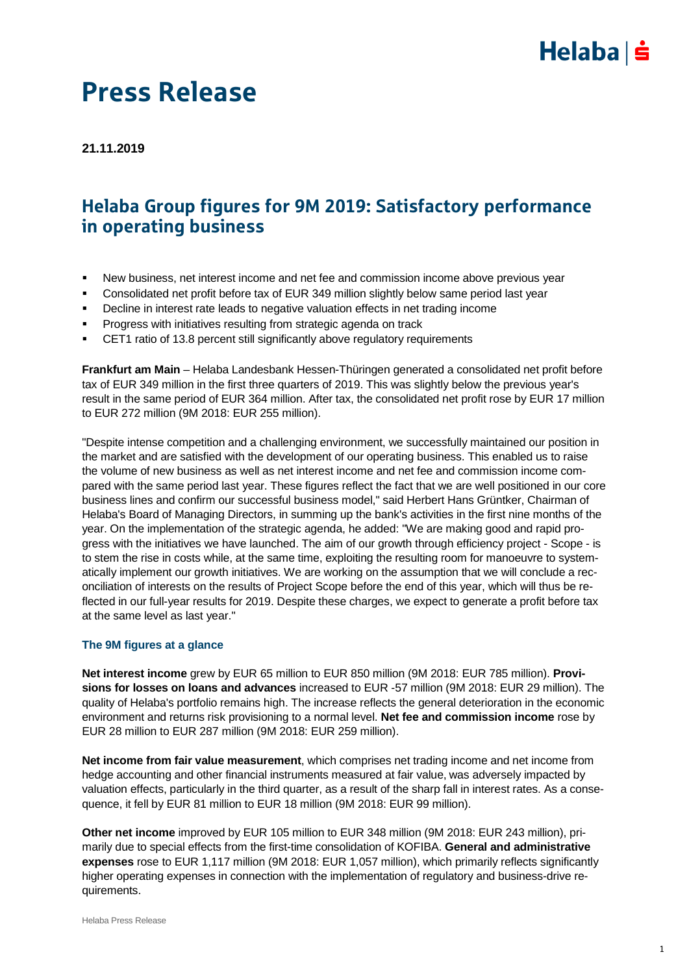

### Press Release

**21.11.2019**

### Helaba Group figures for 9M 2019: Satisfactory performance in operating business

- New business, net interest income and net fee and commission income above previous year
- Consolidated net profit before tax of EUR 349 million slightly below same period last year
- Decline in interest rate leads to negative valuation effects in net trading income
- **Progress with initiatives resulting from strategic agenda on track**
- CET1 ratio of 13.8 percent still significantly above regulatory requirements

**Frankfurt am Main** – Helaba Landesbank Hessen-Thüringen generated a consolidated net profit before tax of EUR 349 million in the first three quarters of 2019. This was slightly below the previous year's result in the same period of EUR 364 million. After tax, the consolidated net profit rose by EUR 17 million to EUR 272 million (9M 2018: EUR 255 million).

"Despite intense competition and a challenging environment, we successfully maintained our position in the market and are satisfied with the development of our operating business. This enabled us to raise the volume of new business as well as net interest income and net fee and commission income compared with the same period last year. These figures reflect the fact that we are well positioned in our core business lines and confirm our successful business model," said Herbert Hans Grüntker, Chairman of Helaba's Board of Managing Directors, in summing up the bank's activities in the first nine months of the year. On the implementation of the strategic agenda, he added: "We are making good and rapid progress with the initiatives we have launched. The aim of our growth through efficiency project - Scope - is to stem the rise in costs while, at the same time, exploiting the resulting room for manoeuvre to systematically implement our growth initiatives. We are working on the assumption that we will conclude a reconciliation of interests on the results of Project Scope before the end of this year, which will thus be reflected in our full-year results for 2019. Despite these charges, we expect to generate a profit before tax at the same level as last year."

#### **The 9M figures at a glance**

**Net interest income** grew by EUR 65 million to EUR 850 million (9M 2018: EUR 785 million). **Provisions for losses on loans and advances** increased to EUR -57 million (9M 2018: EUR 29 million). The quality of Helaba's portfolio remains high. The increase reflects the general deterioration in the economic environment and returns risk provisioning to a normal level. **Net fee and commission income** rose by EUR 28 million to EUR 287 million (9M 2018: EUR 259 million).

**Net income from fair value measurement**, which comprises net trading income and net income from hedge accounting and other financial instruments measured at fair value, was adversely impacted by valuation effects, particularly in the third quarter, as a result of the sharp fall in interest rates. As a consequence, it fell by EUR 81 million to EUR 18 million (9M 2018: EUR 99 million).

**Other net income** improved by EUR 105 million to EUR 348 million (9M 2018: EUR 243 million), primarily due to special effects from the first-time consolidation of KOFIBA. **General and administrative expenses** rose to EUR 1,117 million (9M 2018: EUR 1,057 million), which primarily reflects significantly higher operating expenses in connection with the implementation of regulatory and business-drive requirements.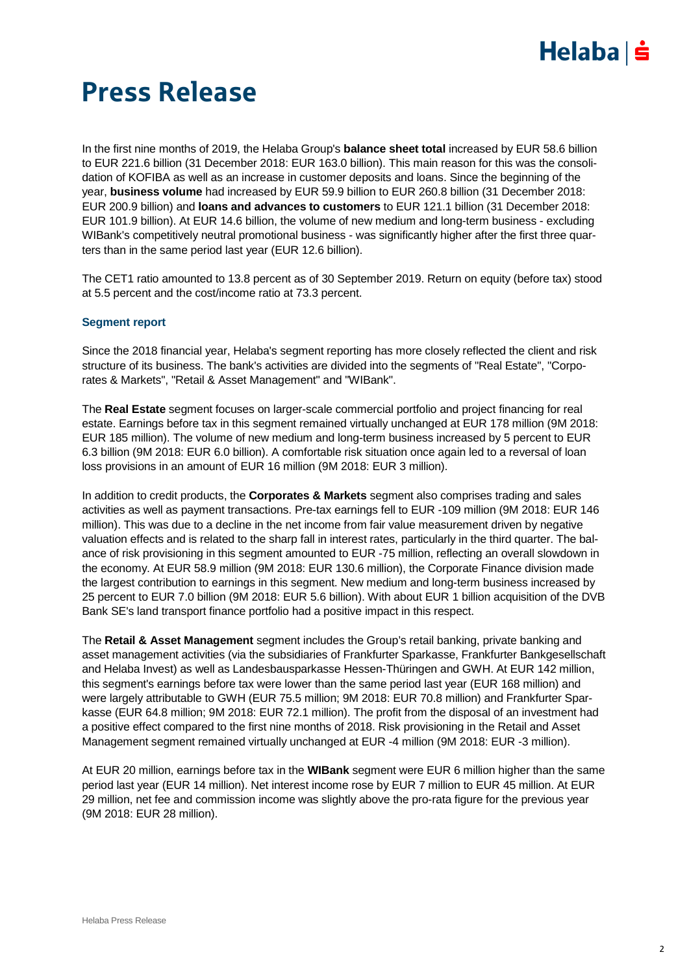

### Press Release

In the first nine months of 2019, the Helaba Group's **balance sheet total** increased by EUR 58.6 billion to EUR 221.6 billion (31 December 2018: EUR 163.0 billion). This main reason for this was the consolidation of KOFIBA as well as an increase in customer deposits and loans. Since the beginning of the year, **business volume** had increased by EUR 59.9 billion to EUR 260.8 billion (31 December 2018: EUR 200.9 billion) and **loans and advances to customers** to EUR 121.1 billion (31 December 2018: EUR 101.9 billion). At EUR 14.6 billion, the volume of new medium and long-term business - excluding WIBank's competitively neutral promotional business - was significantly higher after the first three quarters than in the same period last year (EUR 12.6 billion).

The CET1 ratio amounted to 13.8 percent as of 30 September 2019. Return on equity (before tax) stood at 5.5 percent and the cost/income ratio at 73.3 percent.

### **Segment report**

Since the 2018 financial year, Helaba's segment reporting has more closely reflected the client and risk structure of its business. The bank's activities are divided into the segments of "Real Estate", "Corporates & Markets", "Retail & Asset Management" and "WIBank".

The **Real Estate** segment focuses on larger-scale commercial portfolio and project financing for real estate. Earnings before tax in this segment remained virtually unchanged at EUR 178 million (9M 2018: EUR 185 million). The volume of new medium and long-term business increased by 5 percent to EUR 6.3 billion (9M 2018: EUR 6.0 billion). A comfortable risk situation once again led to a reversal of loan loss provisions in an amount of EUR 16 million (9M 2018: EUR 3 million).

In addition to credit products, the **Corporates & Markets** segment also comprises trading and sales activities as well as payment transactions. Pre-tax earnings fell to EUR -109 million (9M 2018: EUR 146 million). This was due to a decline in the net income from fair value measurement driven by negative valuation effects and is related to the sharp fall in interest rates, particularly in the third quarter. The balance of risk provisioning in this segment amounted to EUR -75 million, reflecting an overall slowdown in the economy. At EUR 58.9 million (9M 2018: EUR 130.6 million), the Corporate Finance division made the largest contribution to earnings in this segment. New medium and long-term business increased by 25 percent to EUR 7.0 billion (9M 2018: EUR 5.6 billion). With about EUR 1 billion acquisition of the DVB Bank SE's land transport finance portfolio had a positive impact in this respect.

The **Retail & Asset Management** segment includes the Group's retail banking, private banking and asset management activities (via the subsidiaries of Frankfurter Sparkasse, Frankfurter Bankgesellschaft and Helaba Invest) as well as Landesbausparkasse Hessen-Thüringen and GWH. At EUR 142 million, this segment's earnings before tax were lower than the same period last year (EUR 168 million) and were largely attributable to GWH (EUR 75.5 million; 9M 2018: EUR 70.8 million) and Frankfurter Sparkasse (EUR 64.8 million; 9M 2018: EUR 72.1 million). The profit from the disposal of an investment had a positive effect compared to the first nine months of 2018. Risk provisioning in the Retail and Asset Management segment remained virtually unchanged at EUR -4 million (9M 2018: EUR -3 million).

At EUR 20 million, earnings before tax in the **WIBank** segment were EUR 6 million higher than the same period last year (EUR 14 million). Net interest income rose by EUR 7 million to EUR 45 million. At EUR 29 million, net fee and commission income was slightly above the pro-rata figure for the previous year (9M 2018: EUR 28 million).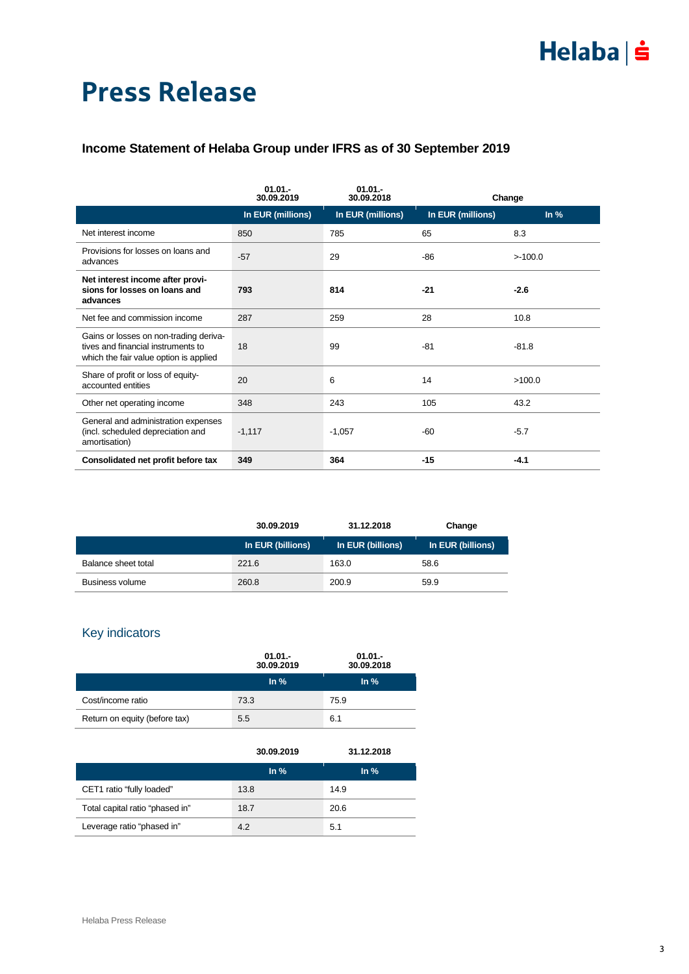# $Helaba \succeq$

## Press Release

### **Income Statement of Helaba Group under IFRS as of 30 September 2019**

|                                                                                                                        | $01.01 -$<br>30.09.2019 | $01.01 -$<br>30.09.2018 |                   | Change            |
|------------------------------------------------------------------------------------------------------------------------|-------------------------|-------------------------|-------------------|-------------------|
|                                                                                                                        | In EUR (millions)       | In EUR (millions)       | In EUR (millions) | $\ln \frac{9}{6}$ |
| Net interest income                                                                                                    | 850                     | 785                     | 65                | 8.3               |
| Provisions for losses on loans and<br>advances                                                                         | $-57$                   | 29                      | -86               | >100.0            |
| Net interest income after provi-<br>sions for losses on loans and<br>advances                                          | 793                     | 814                     | $-21$             | $-2.6$            |
| Net fee and commission income                                                                                          | 287                     | 259                     | 28                | 10.8              |
| Gains or losses on non-trading deriva-<br>tives and financial instruments to<br>which the fair value option is applied | 18                      | 99                      | -81               | $-81.8$           |
| Share of profit or loss of equity-<br>accounted entities                                                               | 20                      | 6                       | 14                | >100.0            |
| Other net operating income                                                                                             | 348                     | 243                     | 105               | 43.2              |
| General and administration expenses<br>(incl. scheduled depreciation and<br>amortisation)                              | $-1,117$                | $-1,057$                | -60               | $-5.7$            |
| Consolidated net profit before tax                                                                                     | 349                     | 364                     | $-15$             | $-4.1$            |

|                        | 30.09.2019        | 31.12.2018        | Change            |
|------------------------|-------------------|-------------------|-------------------|
|                        | In EUR (billions) | In EUR (billions) | In EUR (billions) |
| Balance sheet total    | 221.6             | 163.0             | 58.6              |
| <b>Business volume</b> | 260.8             | 200.9             | 59.9              |

### Key indicators

|                               | $01.01 -$<br>30.09.2019 | $01.01 -$<br>30.09.2018 |  |
|-------------------------------|-------------------------|-------------------------|--|
|                               | $\ln \frac{9}{6}$       | $\ln \frac{9}{6}$       |  |
| Cost/income ratio             | 73.3                    | 75.9                    |  |
| Return on equity (before tax) | 5.5                     | 6.1                     |  |

|                                 | 30.09.2019        | 31.12.2018        |
|---------------------------------|-------------------|-------------------|
|                                 | $\ln \frac{9}{6}$ | $\ln \frac{9}{6}$ |
| CET1 ratio "fully loaded"       | 13.8              | 14.9              |
| Total capital ratio "phased in" | 18.7              | 20.6              |
| Leverage ratio "phased in"      | 4.2               | 5.1               |